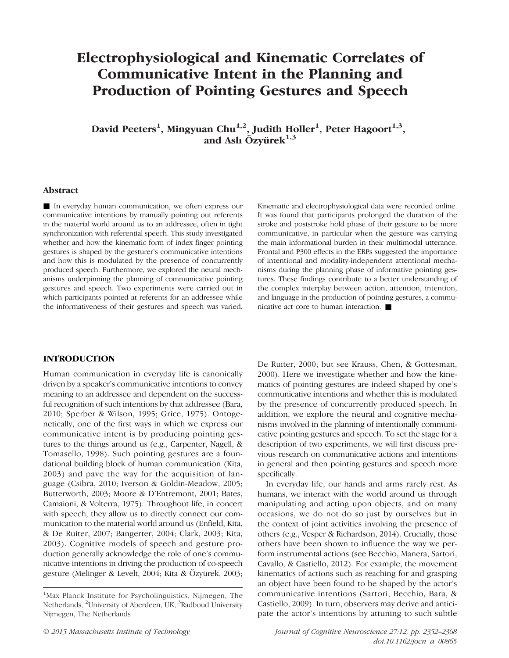# Electrophysiological and Kinematic Correlates of Communicative Intent in the Planning and Production of Pointing Gestures and Speech

David Peeters<sup>1</sup>, Mingyuan Chu<sup>1,2</sup>, Judith Holler<sup>1</sup>, Peter Hagoort<sup>1,3</sup>, and Aslı Özyürek $^{1,3}$ 

#### Abstract

■ In everyday human communication, we often express our communicative intentions by manually pointing out referents in the material world around us to an addressee, often in tight synchronization with referential speech. This study investigated whether and how the kinematic form of index finger pointing gestures is shaped by the gesturer's communicative intentions and how this is modulated by the presence of concurrently produced speech. Furthermore, we explored the neural mechanisms underpinning the planning of communicative pointing gestures and speech. Two experiments were carried out in which participants pointed at referents for an addressee while the informativeness of their gestures and speech was varied.

Kinematic and electrophysiological data were recorded online. It was found that participants prolonged the duration of the stroke and poststroke hold phase of their gesture to be more communicative, in particular when the gesture was carrying the main informational burden in their multimodal utterance. Frontal and P300 effects in the ERPs suggested the importance of intentional and modality-independent attentional mechanisms during the planning phase of informative pointing gestures. These findings contribute to a better understanding of the complex interplay between action, attention, intention, and language in the production of pointing gestures, a communicative act core to human interaction. ■

#### INTRODUCTION

Human communication in everyday life is canonically driven by a speaker's communicative intentions to convey meaning to an addressee and dependent on the successful recognition of such intentions by that addressee (Bara, 2010; Sperber & Wilson, 1995; Grice, 1975). Ontogenetically, one of the first ways in which we express our communicative intent is by producing pointing gestures to the things around us (e.g., Carpenter, Nagell, & Tomasello, 1998). Such pointing gestures are a foundational building block of human communication (Kita, 2003) and pave the way for the acquisition of language (Csibra, 2010; Iverson & Goldin-Meadow, 2005; Butterworth, 2003; Moore & D'Entremont, 2001; Bates, Camaioni, & Volterra, 1975). Throughout life, in concert with speech, they allow us to directly connect our communication to the material world around us (Enfield, Kita, & De Ruiter, 2007; Bangerter, 2004; Clark, 2003; Kita, 2003). Cognitive models of speech and gesture production generally acknowledge the role of one's communicative intentions in driving the production of co-speech gesture (Melinger & Levelt, 2004; Kita & Özyürek, 2003; De Ruiter, 2000; but see Krauss, Chen, & Gottesman, 2000). Here we investigate whether and how the kinematics of pointing gestures are indeed shaped by one's communicative intentions and whether this is modulated by the presence of concurrently produced speech. In addition, we explore the neural and cognitive mechanisms involved in the planning of intentionally communicative pointing gestures and speech. To set the stage for a description of two experiments, we will first discuss previous research on communicative actions and intentions in general and then pointing gestures and speech more specifically.

In everyday life, our hands and arms rarely rest. As humans, we interact with the world around us through manipulating and acting upon objects, and on many occasions, we do not do so just by ourselves but in the context of joint activities involving the presence of others (e.g., Vesper & Richardson, 2014). Crucially, those others have been shown to influence the way we perform instrumental actions (see Becchio, Manera, Sartori, Cavallo, & Castiello, 2012). For example, the movement kinematics of actions such as reaching for and grasping an object have been found to be shaped by the actor's communicative intentions (Sartori, Becchio, Bara, & Castiello, 2009). In turn, observers may derive and anticipate the actor's intentions by attuning to such subtle

© 2015 Massachusetts Institute of Technology Journal of Cognitive Neuroscience 27:12, pp. 2352–2368 doi:10.1162/jocn\_a\_00865

<sup>&</sup>lt;sup>1</sup>Max Planck Institute for Psycholinguistics, Nijmegen, The Netherlands, <sup>2</sup>University of Aberdeen, UK, <sup>3</sup>Radboud University Nijmegen, The Netherlands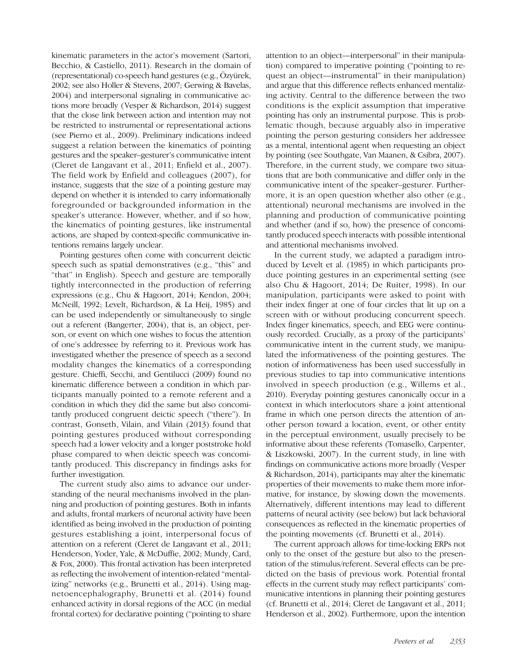kinematic parameters in the actor's movement (Sartori, Becchio, & Castiello, 2011). Research in the domain of (representational) co-speech hand gestures (e.g., Özyürek, 2002; see also Holler & Stevens, 2007; Gerwing & Bavelas, 2004) and interpersonal signaling in communicative actions more broadly (Vesper & Richardson, 2014) suggest that the close link between action and intention may not be restricted to instrumental or representational actions (see Pierno et al., 2009). Preliminary indications indeed suggest a relation between the kinematics of pointing gestures and the speaker–gesturer's communicative intent (Cleret de Langavant et al., 2011; Enfield et al., 2007). The field work by Enfield and colleagues (2007), for instance, suggests that the size of a pointing gesture may depend on whether it is intended to carry informationally foregrounded or backgrounded information in the speaker's utterance. However, whether, and if so how, the kinematics of pointing gestures, like instrumental actions, are shaped by context-specific communicative intentions remains largely unclear.

Pointing gestures often come with concurrent deictic speech such as spatial demonstratives (e.g., "this" and "that" in English). Speech and gesture are temporally tightly interconnected in the production of referring expressions (e.g., Chu & Hagoort, 2014; Kendon, 2004; McNeill, 1992; Levelt, Richardson, & La Heij, 1985) and can be used independently or simultaneously to single out a referent (Bangerter, 2004), that is, an object, person, or event on which one wishes to focus the attention of one's addressee by referring to it. Previous work has investigated whether the presence of speech as a second modality changes the kinematics of a corresponding gesture. Chieffi, Secchi, and Gentilucci (2009) found no kinematic difference between a condition in which participants manually pointed to a remote referent and a condition in which they did the same but also concomitantly produced congruent deictic speech ("there"). In contrast, Gonseth, Vilain, and Vilain (2013) found that pointing gestures produced without corresponding speech had a lower velocity and a longer poststroke hold phase compared to when deictic speech was concomitantly produced. This discrepancy in findings asks for further investigation.

The current study also aims to advance our understanding of the neural mechanisms involved in the planning and production of pointing gestures. Both in infants and adults, frontal markers of neuronal activity have been identified as being involved in the production of pointing gestures establishing a joint, interpersonal focus of attention on a referent (Cleret de Langavant et al., 2011; Henderson, Yoder, Yale, & McDuffie, 2002; Mundy, Card, & Fox, 2000). This frontal activation has been interpreted as reflecting the involvement of intention-related "mentalizing" networks (e.g., Brunetti et al., 2014). Using magnetoencephalography, Brunetti et al. (2014) found enhanced activity in dorsal regions of the ACC (in medial frontal cortex) for declarative pointing ("pointing to share

attention to an object—interpersonal" in their manipulation) compared to imperative pointing ("pointing to request an object—instrumental" in their manipulation) and argue that this difference reflects enhanced mentalizing activity. Central to the difference between the two conditions is the explicit assumption that imperative pointing has only an instrumental purpose. This is problematic though, because arguably also in imperative pointing the person gesturing considers her addressee as a mental, intentional agent when requesting an object by pointing (see Southgate, Van Maanen, & Csibra, 2007). Therefore, in the current study, we compare two situations that are both communicative and differ only in the communicative intent of the speaker–gesturer. Furthermore, it is an open question whether also other (e.g., attentional) neuronal mechanisms are involved in the planning and production of communicative pointing and whether (and if so, how) the presence of concomitantly produced speech interacts with possible intentional and attentional mechanisms involved.

In the current study, we adapted a paradigm introduced by Levelt et al. (1985) in which participants produce pointing gestures in an experimental setting (see also Chu & Hagoort, 2014; De Ruiter, 1998). In our manipulation, participants were asked to point with their index finger at one of four circles that lit up on a screen with or without producing concurrent speech. Index finger kinematics, speech, and EEG were continuously recorded. Crucially, as a proxy of the participants' communicative intent in the current study, we manipulated the informativeness of the pointing gestures. The notion of informativeness has been used successfully in previous studies to tap into communicative intentions involved in speech production (e.g., Willems et al., 2010). Everyday pointing gestures canonically occur in a context in which interlocutors share a joint attentional frame in which one person directs the attention of another person toward a location, event, or other entity in the perceptual environment, usually precisely to be informative about these referents (Tomasello, Carpenter, & Liszkowski, 2007). In the current study, in line with findings on communicative actions more broadly (Vesper & Richardson, 2014), participants may alter the kinematic properties of their movements to make them more informative, for instance, by slowing down the movements. Alternatively, different intentions may lead to different patterns of neural activity (see below) but lack behavioral consequences as reflected in the kinematic properties of the pointing movements (cf. Brunetti et al., 2014).

The current approach allows for time-locking ERPs not only to the onset of the gesture but also to the presentation of the stimulus/referent. Several effects can be predicted on the basis of previous work. Potential frontal effects in the current study may reflect participants' communicative intentions in planning their pointing gestures (cf. Brunetti et al., 2014; Cleret de Langavant et al., 2011; Henderson et al., 2002). Furthermore, upon the intention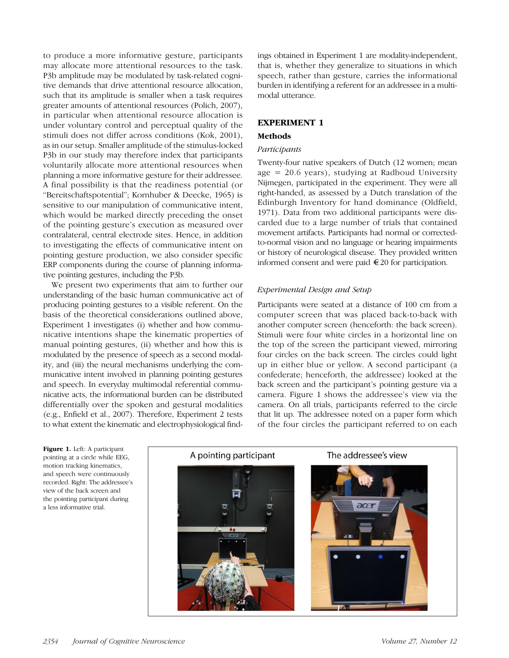P3b amplitude may be modulated by task-related cognitive demands that drive attentional resource allocation, such that its amplitude is smaller when a task requires greater amounts of attentional resources (Polich, 2007), in particular when attentional resource allocation is under voluntary control and perceptual quality of the stimuli does not differ across conditions (Kok, 2001), as in our setup. Smaller amplitude of the stimulus-locked P3b in our study may therefore index that participants voluntarily allocate more attentional resources when planning a more informative gesture for their addressee. A final possibility is that the readiness potential (or "Bereitschaftspotential"; Kornhuber & Deecke, 1965) is sensitive to our manipulation of communicative intent, which would be marked directly preceding the onset of the pointing gesture's execution as measured over contralateral, central electrode sites. Hence, in addition to investigating the effects of communicative intent on pointing gesture production, we also consider specific ERP components during the course of planning informative pointing gestures, including the P3b. We present two experiments that aim to further our understanding of the basic human communicative act of producing pointing gestures to a visible referent. On the basis of the theoretical considerations outlined above,

to produce a more informative gesture, participants may allocate more attentional resources to the task.

Experiment 1 investigates (i) whether and how communicative intentions shape the kinematic properties of manual pointing gestures, (ii) whether and how this is modulated by the presence of speech as a second modality, and (iii) the neural mechanisms underlying the communicative intent involved in planning pointing gestures and speech. In everyday multimodal referential communicative acts, the informational burden can be distributed differentially over the spoken and gestural modalities (e.g., Enfield et al., 2007). Therefore, Experiment 2 tests to what extent the kinematic and electrophysiological findings obtained in Experiment 1 are modality-independent, that is, whether they generalize to situations in which speech, rather than gesture, carries the informational burden in identifying a referent for an addressee in a multimodal utterance.

# EXPERIMENT 1

# Methods

# Participants

Twenty-four native speakers of Dutch (12 women; mean age = 20.6 years), studying at Radboud University Nijmegen, participated in the experiment. They were all right-handed, as assessed by a Dutch translation of the Edinburgh Inventory for hand dominance (Oldfield, 1971). Data from two additional participants were discarded due to a large number of trials that contained movement artifacts. Participants had normal or correctedto-normal vision and no language or hearing impairments or history of neurological disease. They provided written informed consent and were paid  $\epsilon$  20 for participation.

# Experimental Design and Setup

Participants were seated at a distance of 100 cm from a computer screen that was placed back-to-back with another computer screen (henceforth: the back screen). Stimuli were four white circles in a horizontal line on the top of the screen the participant viewed, mirroring four circles on the back screen. The circles could light up in either blue or yellow. A second participant (a confederate; henceforth, the addressee) looked at the back screen and the participant's pointing gesture via a camera. Figure 1 shows the addressee's view via the camera. On all trials, participants referred to the circle that lit up. The addressee noted on a paper form which of the four circles the participant referred to on each

Figure 1. Left: A participant pointing at a circle while EEG, motion tracking kinematics, and speech were continuously recorded. Right: The addressee's view of the back screen and the pointing participant during a less informative trial.

# A pointing participant



The addressee's view

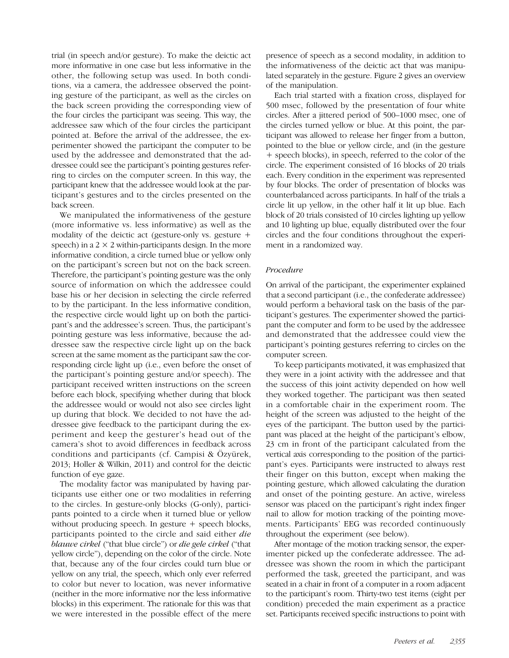trial (in speech and/or gesture). To make the deictic act more informative in one case but less informative in the other, the following setup was used. In both conditions, via a camera, the addressee observed the pointing gesture of the participant, as well as the circles on the back screen providing the corresponding view of the four circles the participant was seeing. This way, the addressee saw which of the four circles the participant pointed at. Before the arrival of the addressee, the experimenter showed the participant the computer to be used by the addressee and demonstrated that the addressee could see the participant's pointing gestures referring to circles on the computer screen. In this way, the participant knew that the addressee would look at the participant's gestures and to the circles presented on the back screen.

We manipulated the informativeness of the gesture (more informative vs. less informative) as well as the modality of the deictic act (gesture-only vs. gesture + speech) in a  $2 \times 2$  within-participants design. In the more informative condition, a circle turned blue or yellow only on the participant's screen but not on the back screen. Therefore, the participant's pointing gesture was the only source of information on which the addressee could base his or her decision in selecting the circle referred to by the participant. In the less informative condition, the respective circle would light up on both the participant's and the addressee's screen. Thus, the participant's pointing gesture was less informative, because the addressee saw the respective circle light up on the back screen at the same moment as the participant saw the corresponding circle light up (i.e., even before the onset of the participant's pointing gesture and/or speech). The participant received written instructions on the screen before each block, specifying whether during that block the addressee would or would not also see circles light up during that block. We decided to not have the addressee give feedback to the participant during the experiment and keep the gesturer's head out of the camera's shot to avoid differences in feedback across conditions and participants (cf. Campisi & Özyürek, 2013; Holler & Wilkin, 2011) and control for the deictic function of eye gaze.

The modality factor was manipulated by having participants use either one or two modalities in referring to the circles. In gesture-only blocks (G-only), participants pointed to a circle when it turned blue or yellow without producing speech. In gesture + speech blocks, participants pointed to the circle and said either die blauwe cirkel ("that blue circle") or die gele cirkel ("that yellow circle"), depending on the color of the circle. Note that, because any of the four circles could turn blue or yellow on any trial, the speech, which only ever referred to color but never to location, was never informative (neither in the more informative nor the less informative blocks) in this experiment. The rationale for this was that we were interested in the possible effect of the mere

presence of speech as a second modality, in addition to the informativeness of the deictic act that was manipulated separately in the gesture. Figure 2 gives an overview of the manipulation.

Each trial started with a fixation cross, displayed for 500 msec, followed by the presentation of four white circles. After a jittered period of 500–1000 msec, one of the circles turned yellow or blue. At this point, the participant was allowed to release her finger from a button, pointed to the blue or yellow circle, and (in the gesture + speech blocks), in speech, referred to the color of the circle. The experiment consisted of 16 blocks of 20 trials each. Every condition in the experiment was represented by four blocks. The order of presentation of blocks was counterbalanced across participants. In half of the trials a circle lit up yellow, in the other half it lit up blue. Each block of 20 trials consisted of 10 circles lighting up yellow and 10 lighting up blue, equally distributed over the four circles and the four conditions throughout the experiment in a randomized way.

# Procedure

On arrival of the participant, the experimenter explained that a second participant (i.e., the confederate addressee) would perform a behavioral task on the basis of the participant's gestures. The experimenter showed the participant the computer and form to be used by the addressee and demonstrated that the addressee could view the participant's pointing gestures referring to circles on the computer screen.

To keep participants motivated, it was emphasized that they were in a joint activity with the addressee and that the success of this joint activity depended on how well they worked together. The participant was then seated in a comfortable chair in the experiment room. The height of the screen was adjusted to the height of the eyes of the participant. The button used by the participant was placed at the height of the participant's elbow, 23 cm in front of the participant calculated from the vertical axis corresponding to the position of the participant's eyes. Participants were instructed to always rest their finger on this button, except when making the pointing gesture, which allowed calculating the duration and onset of the pointing gesture. An active, wireless sensor was placed on the participant's right index finger nail to allow for motion tracking of the pointing movements. Participants' EEG was recorded continuously throughout the experiment (see below).

After montage of the motion tracking sensor, the experimenter picked up the confederate addressee. The addressee was shown the room in which the participant performed the task, greeted the participant, and was seated in a chair in front of a computer in a room adjacent to the participant's room. Thirty-two test items (eight per condition) preceded the main experiment as a practice set. Participants received specific instructions to point with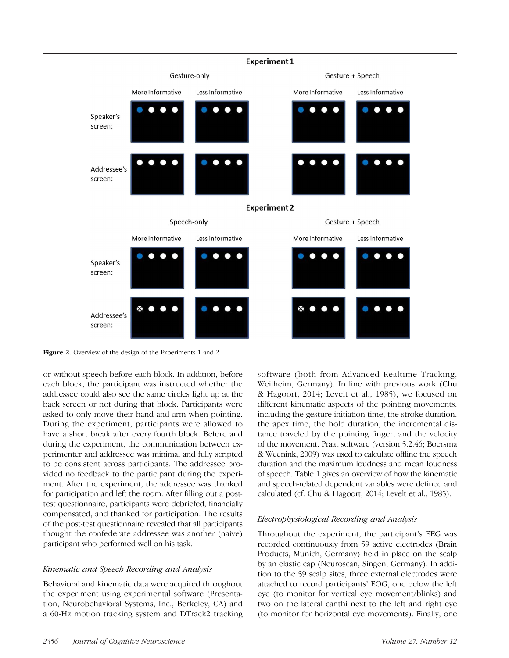

Figure 2. Overview of the design of the Experiments 1 and 2.

or without speech before each block. In addition, before each block, the participant was instructed whether the addressee could also see the same circles light up at the back screen or not during that block. Participants were asked to only move their hand and arm when pointing. During the experiment, participants were allowed to have a short break after every fourth block. Before and during the experiment, the communication between experimenter and addressee was minimal and fully scripted to be consistent across participants. The addressee provided no feedback to the participant during the experiment. After the experiment, the addressee was thanked for participation and left the room. After filling out a posttest questionnaire, participants were debriefed, financially compensated, and thanked for participation. The results of the post-test questionnaire revealed that all participants thought the confederate addressee was another (naive) participant who performed well on his task.

# Kinematic and Speech Recording and Analysis

Behavioral and kinematic data were acquired throughout the experiment using experimental software (Presentation, Neurobehavioral Systems, Inc., Berkeley, CA) and a 60-Hz motion tracking system and DTrack2 tracking

software (both from Advanced Realtime Tracking, Weilheim, Germany). In line with previous work (Chu & Hagoort, 2014; Levelt et al., 1985), we focused on different kinematic aspects of the pointing movements, including the gesture initiation time, the stroke duration, the apex time, the hold duration, the incremental distance traveled by the pointing finger, and the velocity of the movement. Praat software (version 5.2.46; Boersma & Weenink, 2009) was used to calculate offline the speech duration and the maximum loudness and mean loudness of speech. Table 1 gives an overview of how the kinematic and speech-related dependent variables were defined and calculated (cf. Chu & Hagoort, 2014; Levelt et al., 1985).

# Electrophysiological Recording and Analysis

Throughout the experiment, the participant's EEG was recorded continuously from 59 active electrodes (Brain Products, Munich, Germany) held in place on the scalp by an elastic cap (Neuroscan, Singen, Germany). In addition to the 59 scalp sites, three external electrodes were attached to record participants' EOG, one below the left eye (to monitor for vertical eye movement/blinks) and two on the lateral canthi next to the left and right eye (to monitor for horizontal eye movements). Finally, one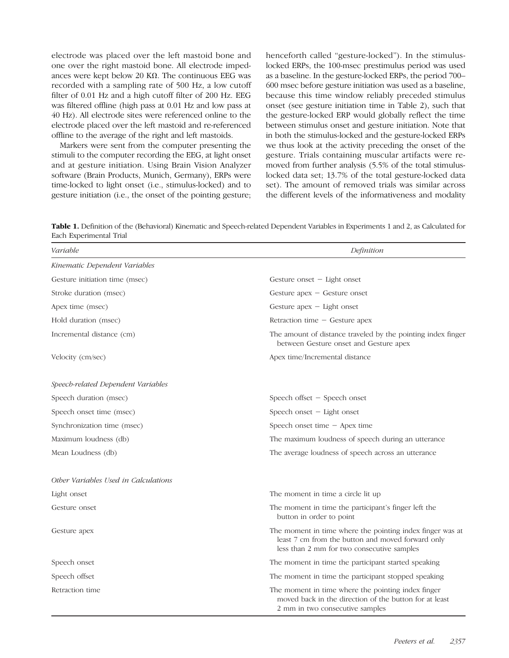electrode was placed over the left mastoid bone and one over the right mastoid bone. All electrode impedances were kept below 20 KΩ. The continuous EEG was recorded with a sampling rate of 500 Hz, a low cutoff filter of 0.01 Hz and a high cutoff filter of 200 Hz. EEG was filtered offline (high pass at 0.01 Hz and low pass at 40 Hz). All electrode sites were referenced online to the electrode placed over the left mastoid and re-referenced offline to the average of the right and left mastoids.

Markers were sent from the computer presenting the stimuli to the computer recording the EEG, at light onset and at gesture initiation. Using Brain Vision Analyzer software (Brain Products, Munich, Germany), ERPs were time-locked to light onset (i.e., stimulus-locked) and to gesture initiation (i.e., the onset of the pointing gesture;

henceforth called "gesture-locked"). In the stimuluslocked ERPs, the 100-msec prestimulus period was used as a baseline. In the gesture-locked ERPs, the period 700– 600 msec before gesture initiation was used as a baseline, because this time window reliably preceded stimulus onset (see gesture initiation time in Table 2), such that the gesture-locked ERP would globally reflect the time between stimulus onset and gesture initiation. Note that in both the stimulus-locked and the gesture-locked ERPs we thus look at the activity preceding the onset of the gesture. Trials containing muscular artifacts were removed from further analysis (5.5% of the total stimuluslocked data set; 13.7% of the total gesture-locked data set). The amount of removed trials was similar across the different levels of the informativeness and modality

Table 1. Definition of the (Behavioral) Kinematic and Speech-related Dependent Variables in Experiments 1 and 2, as Calculated for Each Experimental Trial

| Variable                             | Definition                                                                                                                                                   |
|--------------------------------------|--------------------------------------------------------------------------------------------------------------------------------------------------------------|
| Kinematic Dependent Variables        |                                                                                                                                                              |
| Gesture initiation time (msec)       | Gesture onset $-$ Light onset                                                                                                                                |
| Stroke duration (msec)               | Gesture apex $-$ Gesture onset                                                                                                                               |
| Apex time (msec)                     | Gesture apex $-$ Light onset                                                                                                                                 |
| Hold duration (msec)                 | Retraction time $-$ Gesture apex                                                                                                                             |
| Incremental distance (cm)            | The amount of distance traveled by the pointing index finger<br>between Gesture onset and Gesture apex                                                       |
| Velocity (cm/sec)                    | Apex time/Incremental distance                                                                                                                               |
| Speech-related Dependent Variables   |                                                                                                                                                              |
| Speech duration (msec)               | Speech offset $-$ Speech onset                                                                                                                               |
| Speech onset time (msec)             | Speech onset - Light onset                                                                                                                                   |
| Synchronization time (msec)          | Speech onset time $-$ Apex time                                                                                                                              |
| Maximum loudness (db)                | The maximum loudness of speech during an utterance                                                                                                           |
| Mean Loudness (db)                   | The average loudness of speech across an utterance                                                                                                           |
| Other Variables Used in Calculations |                                                                                                                                                              |
| Light onset                          | The moment in time a circle lit up                                                                                                                           |
| Gesture onset                        | The moment in time the participant's finger left the<br>button in order to point                                                                             |
| Gesture apex                         | The moment in time where the pointing index finger was at<br>least 7 cm from the button and moved forward only<br>less than 2 mm for two consecutive samples |
| Speech onset                         | The moment in time the participant started speaking                                                                                                          |
| Speech offset                        | The moment in time the participant stopped speaking                                                                                                          |
| Retraction time                      | The moment in time where the pointing index finger<br>moved back in the direction of the button for at least<br>2 mm in two consecutive samples              |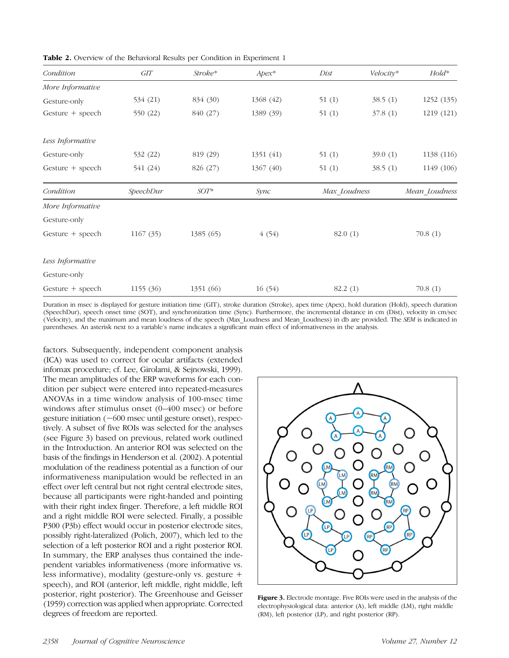| Condition        | <b>GIT</b> | Stroke*   | $A$ <i>pex</i> * | Dist         | Velocity* | $Hold*$       |
|------------------|------------|-----------|------------------|--------------|-----------|---------------|
| More Informative |            |           |                  |              |           |               |
| Gesture-only     | 534 (21)   | 834 (30)  | 1368 (42)        | 51(1)        | 38.5(1)   | 1252 (135)    |
| Gesture + speech | 550 (22)   | 840 (27)  | 1389 (39)        | 51(1)        | 37.8(1)   | 1219 (121)    |
| Less Informative |            |           |                  |              |           |               |
| Gesture-only     | 532 (22)   | 819 (29)  | 1351(41)         | 51(1)        | 39.0(1)   | 1138 (116)    |
| Gesture + speech | 541 (24)   | 826 (27)  | 1367 (40)        | 51(1)        | 38.5(1)   | 1149 (106)    |
| Condition        | SpeechDur  | $SOT^*$   | Sync             | Max Loudness |           | Mean Loudness |
| More Informative |            |           |                  |              |           |               |
| Gesture-only     |            |           |                  |              |           |               |
| Gesture + speech | 1167 (35)  | 1385 (65) | 4(54)            | 82.0 (1)     |           | 70.8(1)       |
| Less Informative |            |           |                  |              |           |               |
| Gesture-only     |            |           |                  |              |           |               |
| Gesture + speech | 1155 (36)  | 1351 (66) | 16(54)           | 82.2 (1)     |           | 70.8(1)       |

Table 2. Overview of the Behavioral Results per Condition in Experiment 1

Duration in msec is displayed for gesture initiation time (GIT), stroke duration (Stroke), apex time (Apex), hold duration (Hold), speech duration (SpeechDur), speech onset time (SOT), and synchronization time (Sync). Furthermore, the incremental distance in cm (Dist), velocity in cm/sec (Velocity), and the maximum and mean loudness of the speech (Max Loudness and Mean Loudness) in db are provided. The SEM is indicated in parentheses. An asterisk next to a variable's name indicates a significant main effect of informativeness in the analysis.

factors. Subsequently, independent component analysis (ICA) was used to correct for ocular artifacts (extended infomax procedure; cf. Lee, Girolami, & Sejnowski, 1999). The mean amplitudes of the ERP waveforms for each condition per subject were entered into repeated-measures ANOVAs in a time window analysis of 100-msec time windows after stimulus onset (0–400 msec) or before gesture initiation (−600 msec until gesture onset), respectively. A subset of five ROIs was selected for the analyses (see Figure 3) based on previous, related work outlined in the Introduction. An anterior ROI was selected on the basis of the findings in Henderson et al. (2002). A potential modulation of the readiness potential as a function of our informativeness manipulation would be reflected in an effect over left central but not right central electrode sites, because all participants were right-handed and pointing with their right index finger. Therefore, a left middle ROI and a right middle ROI were selected. Finally, a possible P300 (P3b) effect would occur in posterior electrode sites, possibly right-lateralized (Polich, 2007), which led to the selection of a left posterior ROI and a right posterior ROI. In summary, the ERP analyses thus contained the independent variables informativeness (more informative vs. less informative), modality (gesture-only vs. gesture + speech), and ROI (anterior, left middle, right middle, left posterior, right posterior). The Greenhouse and Geisser (1959) correction was applied when appropriate. Corrected degrees of freedom are reported.



Figure 3. Electrode montage. Five ROIs were used in the analysis of the electrophysiological data: anterior (A), left middle (LM), right middle (RM), left posterior (LP), and right posterior (RP).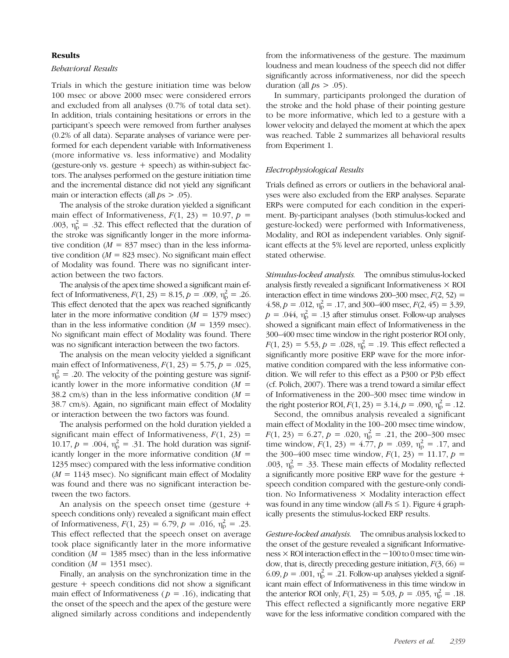# **Results**

#### Behavioral Results

Trials in which the gesture initiation time was below 100 msec or above 2000 msec were considered errors and excluded from all analyses (0.7% of total data set). In addition, trials containing hesitations or errors in the participant's speech were removed from further analyses (0.2% of all data). Separate analyses of variance were performed for each dependent variable with Informativeness (more informative vs. less informative) and Modality (gesture-only vs. gesture  $+$  speech) as within-subject factors. The analyses performed on the gesture initiation time and the incremental distance did not yield any significant main or interaction effects (all  $ps > .05$ ).

The analysis of the stroke duration yielded a significant main effect of Informativeness,  $F(1, 23) = 10.97$ ,  $p =$ .003,  $\eta_p^2 = .32$ . This effect reflected that the duration of the stroke was significantly longer in the more informative condition ( $M = 837$  msec) than in the less informative condition ( $M = 823$  msec). No significant main effect of Modality was found. There was no significant interaction between the two factors.

The analysis of the apex time showed a significant main effect of Informativeness,  $F(1, 23) = 8.15$ ,  $p = .009$ ,  $\eta_p^2 = .26$ . This effect denoted that the apex was reached significantly later in the more informative condition  $(M = 1379 \text{ msec})$ than in the less informative condition  $(M = 1359 \text{ msec})$ . No significant main effect of Modality was found. There was no significant interaction between the two factors.

The analysis on the mean velocity yielded a significant main effect of Informativeness,  $F(1, 23) = 5.75$ ,  $p = .025$ ,  $\eta_{\rm p}^2$  = .20. The velocity of the pointing gesture was significantly lower in the more informative condition  $(M =$ 38.2 cm/s) than in the less informative condition  $(M =$ 38.7 cm/s). Again, no significant main effect of Modality or interaction between the two factors was found.

The analysis performed on the hold duration yielded a significant main effect of Informativeness,  $F(1, 23)$  = 10.17,  $p = .004$ ,  $\eta_p^2 = .31$ . The hold duration was significantly longer in the more informative condition  $(M =$ 1235 msec) compared with the less informative condition  $(M = 1143 \text{ msec})$ . No significant main effect of Modality was found and there was no significant interaction between the two factors.

An analysis on the speech onset time (gesture + speech conditions only) revealed a significant main effect of Informativeness,  $F(1, 23) = 6.79$ ,  $p = .016$ ,  $\eta_p^2 = .23$ . This effect reflected that the speech onset on average took place significantly later in the more informative condition ( $M = 1385$  msec) than in the less informative condition ( $M = 1351$  msec).

Finally, an analysis on the synchronization time in the gesture + speech conditions did not show a significant main effect of Informativeness ( $p = .16$ ), indicating that the onset of the speech and the apex of the gesture were aligned similarly across conditions and independently

from the informativeness of the gesture. The maximum loudness and mean loudness of the speech did not differ significantly across informativeness, nor did the speech duration (all  $ps > .05$ ).

In summary, participants prolonged the duration of the stroke and the hold phase of their pointing gesture to be more informative, which led to a gesture with a lower velocity and delayed the moment at which the apex was reached. Table 2 summarizes all behavioral results from Experiment 1.

### Electrophysiological Results

Trials defined as errors or outliers in the behavioral analyses were also excluded from the ERP analyses. Separate ERPs were computed for each condition in the experiment. By-participant analyses (both stimulus-locked and gesture-locked) were performed with Informativeness, Modality, and ROI as independent variables. Only significant effects at the 5% level are reported, unless explicitly stated otherwise.

Stimulus-locked analysis. The omnibus stimulus-locked analysis firstly revealed a significant Informativeness  $\times$  ROI interaction effect in time windows 200–300 msec,  $F(2, 52) =$  $4.58, p = .012, \eta_p^2 = .17, \text{ and } 300-400 \text{ msec}, F(2, 45) = 3.39,$  $p = .044$ ,  $\eta_{\rm p}^2 = .13$  after stimulus onset. Follow-up analyses showed a significant main effect of Informativeness in the 300–400 msec time window in the right posterior ROI only,  $F(1, 23) = 5.53, p = .028, \eta_p^2 = .19$ . This effect reflected a significantly more positive ERP wave for the more informative condition compared with the less informative condition. We will refer to this effect as a P300 or P3b effect (cf. Polich, 2007). There was a trend toward a similar effect of Informativeness in the 200–300 msec time window in the right posterior ROI,  $F(1, 23) = 3.14$ ,  $p = .090$ ,  $\eta_p^2 = .12$ .

Second, the omnibus analysis revealed a significant main effect of Modality in the 100–200 msec time window,  $F(1, 23) = 6.27, p = .020, \eta_p^2 = .21$ , the 200–300 msec time window,  $F(1, 23) = 4.77$ ,  $p = .039$ ,  $\eta_p^2 = .17$ , and the 300–400 msec time window,  $F(1, 23) = 11.17$ ,  $p =$ .003,  $\eta_p^2 = .33$ . These main effects of Modality reflected a significantly more positive ERP wave for the gesture + speech condition compared with the gesture-only condition. No Informativeness  $\times$  Modality interaction effect was found in any time window (all  $Fs \leq 1$ ). Figure 4 graphically presents the stimulus-locked ERP results.

Gesture-locked analysis. The omnibus analysis locked to the onset of the gesture revealed a significant Informativeness × ROI interaction effect in the −100 to 0 msec time window, that is, directly preceding gesture initiation,  $F(3, 66) =$ 6.09,  $p = .001$ ,  $\eta_p^2 = .21$ . Follow-up analyses yielded a significant main effect of Informativeness in this time window in the anterior ROI only,  $F(1, 23) = 5.03$ ,  $p = .035$ ,  $\eta_p^2 = .18$ . This effect reflected a significantly more negative ERP wave for the less informative condition compared with the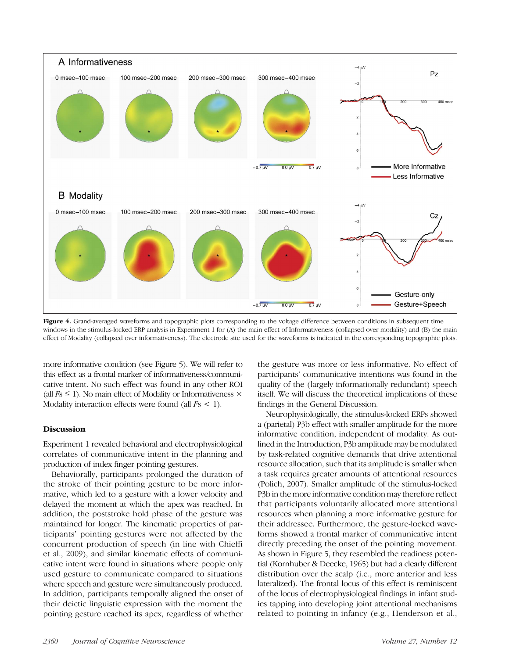

Figure 4. Grand-averaged waveforms and topographic plots corresponding to the voltage difference between conditions in subsequent time windows in the stimulus-locked ERP analysis in Experiment 1 for (A) the main effect of Informativeness (collapsed over modality) and (B) the main effect of Modality (collapsed over informativeness). The electrode site used for the waveforms is indicated in the corresponding topographic plots.

more informative condition (see Figure 5). We will refer to this effect as a frontal marker of informativeness/communicative intent. No such effect was found in any other ROI (all  $Fs \leq 1$ ). No main effect of Modality or Informativeness  $\times$ Modality interaction effects were found (all  $Fs < 1$ ).

#### **Discussion**

Experiment 1 revealed behavioral and electrophysiological correlates of communicative intent in the planning and production of index finger pointing gestures.

Behaviorally, participants prolonged the duration of the stroke of their pointing gesture to be more informative, which led to a gesture with a lower velocity and delayed the moment at which the apex was reached. In addition, the poststroke hold phase of the gesture was maintained for longer. The kinematic properties of participants' pointing gestures were not affected by the concurrent production of speech (in line with Chieffi et al., 2009), and similar kinematic effects of communicative intent were found in situations where people only used gesture to communicate compared to situations where speech and gesture were simultaneously produced. In addition, participants temporally aligned the onset of their deictic linguistic expression with the moment the pointing gesture reached its apex, regardless of whether

the gesture was more or less informative. No effect of participants' communicative intentions was found in the quality of the (largely informationally redundant) speech itself. We will discuss the theoretical implications of these findings in the General Discussion.

Neurophysiologically, the stimulus-locked ERPs showed a (parietal) P3b effect with smaller amplitude for the more informative condition, independent of modality. As outlined in the Introduction, P3b amplitude may be modulated by task-related cognitive demands that drive attentional resource allocation, such that its amplitude is smaller when a task requires greater amounts of attentional resources (Polich, 2007). Smaller amplitude of the stimulus-locked P3b in the more informative condition may therefore reflect that participants voluntarily allocated more attentional resources when planning a more informative gesture for their addressee. Furthermore, the gesture-locked waveforms showed a frontal marker of communicative intent directly preceding the onset of the pointing movement. As shown in Figure 5, they resembled the readiness potential (Kornhuber & Deecke, 1965) but had a clearly different distribution over the scalp (i.e., more anterior and less lateralized). The frontal locus of this effect is reminiscent of the locus of electrophysiological findings in infant studies tapping into developing joint attentional mechanisms related to pointing in infancy (e.g., Henderson et al.,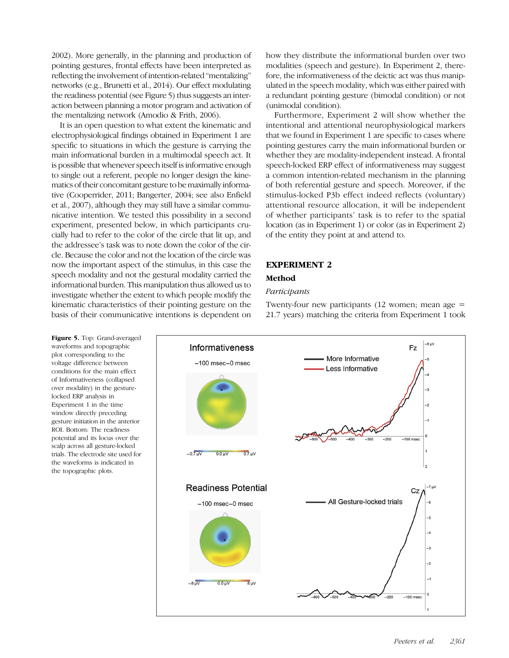2002). More generally, in the planning and production of pointing gestures, frontal effects have been interpreted as reflecting the involvement of intention-related "mentalizing" networks (e.g., Brunetti et al., 2014). Our effect modulating the readiness potential (see Figure 5) thus suggests an interaction between planning a motor program and activation of the mentalizing network (Amodio & Frith, 2006).

It is an open question to what extent the kinematic and electrophysiological findings obtained in Experiment 1 are specific to situations in which the gesture is carrying the main informational burden in a multimodal speech act. It is possible that whenever speech itself is informative enough to single out a referent, people no longer design the kinematics of their concomitant gesture to be maximally informative (Cooperrider, 2011; Bangerter, 2004; see also Enfield et al., 2007), although they may still have a similar communicative intention. We tested this possibility in a second experiment, presented below, in which participants crucially had to refer to the color of the circle that lit up, and the addressee's task was to note down the color of the circle. Because the color and not the location of the circle was now the important aspect of the stimulus, in this case the speech modality and not the gestural modality carried the informational burden. This manipulation thus allowed us to investigate whether the extent to which people modify the kinematic characteristics of their pointing gesture on the basis of their communicative intentions is dependent on

how they distribute the informational burden over two modalities (speech and gesture). In Experiment 2, therefore, the informativeness of the deictic act was thus manipulated in the speech modality, which was either paired with a redundant pointing gesture (bimodal condition) or not (unimodal condition).

Furthermore, Experiment 2 will show whether the intentional and attentional neurophysiological markers that we found in Experiment 1 are specific to cases where pointing gestures carry the main informational burden or whether they are modality-independent instead. A frontal speech-locked ERP effect of informativeness may suggest a common intention-related mechanism in the planning of both referential gesture and speech. Moreover, if the stimulus-locked P3b effect indeed reflects (voluntary) attentional resource allocation, it will be independent of whether participants' task is to refer to the spatial location (as in Experiment 1) or color (as in Experiment 2) of the entity they point at and attend to.

# EXPERIMENT 2

### Method

#### Participants

Twenty-four new participants  $(12 \text{ women}; \text{mean age})$ 21.7 years) matching the criteria from Experiment 1 took

Figure 5. Top: Grand-averaged waveforms and topographic plot corresponding to the voltage difference between conditions for the main effect of Informativeness (collapsed over modality) in the gesturelocked ERP analysis in Experiment 1 in the time window directly preceding gesture initiation in the anterior ROI. Bottom: The readiness potential and its locus over the scalp across all gesture-locked trials. The electrode site used for the waveforms is indicated in the topographic plots.

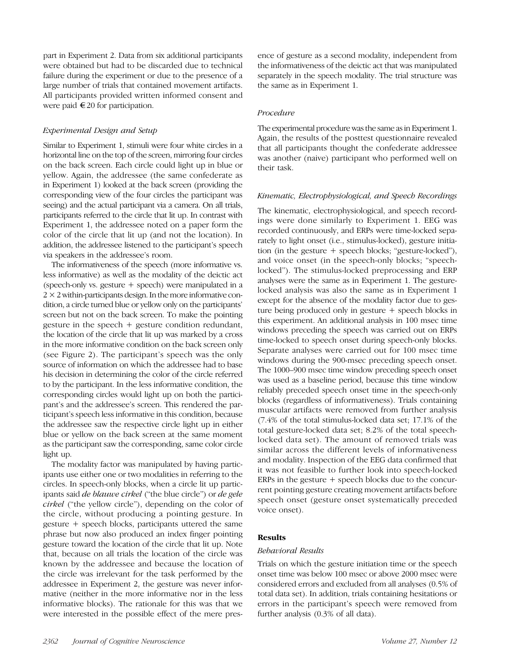part in Experiment 2. Data from six additional participants were obtained but had to be discarded due to technical failure during the experiment or due to the presence of a large number of trials that contained movement artifacts. All participants provided written informed consent and were paid  $\epsilon$  20 for participation.

# Experimental Design and Setup

Similar to Experiment 1, stimuli were four white circles in a horizontal line on the top of the screen, mirroring four circles on the back screen. Each circle could light up in blue or yellow. Again, the addressee (the same confederate as in Experiment 1) looked at the back screen (providing the corresponding view of the four circles the participant was seeing) and the actual participant via a camera. On all trials, participants referred to the circle that lit up. In contrast with Experiment 1, the addressee noted on a paper form the color of the circle that lit up (and not the location). In addition, the addressee listened to the participant's speech via speakers in the addressee's room.

The informativeness of the speech (more informative vs. less informative) as well as the modality of the deictic act (speech-only vs. gesture  $+$  speech) were manipulated in a  $2 \times 2$  within-participants design. In the more informative condition, a circle turned blue or yellow only on the participants' screen but not on the back screen. To make the pointing gesture in the speech + gesture condition redundant, the location of the circle that lit up was marked by a cross in the more informative condition on the back screen only (see Figure 2). The participant's speech was the only source of information on which the addressee had to base his decision in determining the color of the circle referred to by the participant. In the less informative condition, the corresponding circles would light up on both the participant's and the addressee's screen. This rendered the participant's speech less informative in this condition, because the addressee saw the respective circle light up in either blue or yellow on the back screen at the same moment as the participant saw the corresponding, same color circle light up.

The modality factor was manipulated by having participants use either one or two modalities in referring to the circles. In speech-only blocks, when a circle lit up participants said de blauwe cirkel ("the blue circle") or de gele cirkel ("the yellow circle"), depending on the color of the circle, without producing a pointing gesture. In gesture + speech blocks, participants uttered the same phrase but now also produced an index finger pointing gesture toward the location of the circle that lit up. Note that, because on all trials the location of the circle was known by the addressee and because the location of the circle was irrelevant for the task performed by the addressee in Experiment 2, the gesture was never informative (neither in the more informative nor in the less informative blocks). The rationale for this was that we were interested in the possible effect of the mere presence of gesture as a second modality, independent from the informativeness of the deictic act that was manipulated separately in the speech modality. The trial structure was the same as in Experiment 1.

# Procedure

The experimental procedure was the same as in Experiment 1. Again, the results of the posttest questionnaire revealed that all participants thought the confederate addressee was another (naive) participant who performed well on their task.

# Kinematic, Electrophysiological, and Speech Recordings

The kinematic, electrophysiological, and speech recordings were done similarly to Experiment 1. EEG was recorded continuously, and ERPs were time-locked separately to light onset (i.e., stimulus-locked), gesture initiation (in the gesture + speech blocks; "gesture-locked"), and voice onset (in the speech-only blocks; "speechlocked"). The stimulus-locked preprocessing and ERP analyses were the same as in Experiment 1. The gesturelocked analysis was also the same as in Experiment 1 except for the absence of the modality factor due to gesture being produced only in gesture + speech blocks in this experiment. An additional analysis in 100 msec time windows preceding the speech was carried out on ERPs time-locked to speech onset during speech-only blocks. Separate analyses were carried out for 100 msec time windows during the 900-msec preceding speech onset. The 1000–900 msec time window preceding speech onset was used as a baseline period, because this time window reliably preceded speech onset time in the speech-only blocks (regardless of informativeness). Trials containing muscular artifacts were removed from further analysis (7.4% of the total stimulus-locked data set; 17.1% of the total gesture-locked data set; 8.2% of the total speechlocked data set). The amount of removed trials was similar across the different levels of informativeness and modality. Inspection of the EEG data confirmed that it was not feasible to further look into speech-locked ERPs in the gesture  $+$  speech blocks due to the concurrent pointing gesture creating movement artifacts before speech onset (gesture onset systematically preceded voice onset).

# Results

# Behavioral Results

Trials on which the gesture initiation time or the speech onset time was below 100 msec or above 2000 msec were considered errors and excluded from all analyses (0.5% of total data set). In addition, trials containing hesitations or errors in the participant's speech were removed from further analysis (0.3% of all data).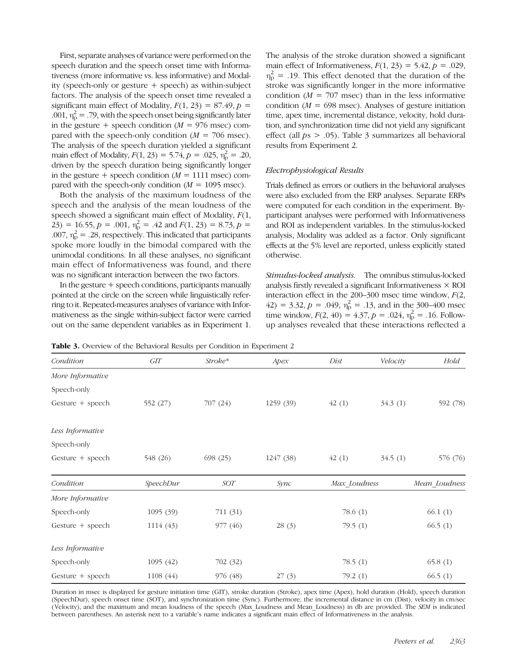First, separate analyses of variance were performed on the speech duration and the speech onset time with Informativeness (more informative vs. less informative) and Modality (speech-only or gesture + speech) as within-subject factors. The analysis of the speech onset time revealed a significant main effect of Modality,  $F(1, 23) = 87.49$ ,  $p =$ .001,  $\eta_p^2$  = .79, with the speech onset being significantly later in the gesture + speech condition  $(M = 976 \text{ msec})$  compared with the speech-only condition  $(M = 706 \text{ msec})$ . The analysis of the speech duration yielded a significant main effect of Modality,  $F(1, 23) = 5.74$ ,  $p = .025$ ,  $\bar{p}_p^2 = .20$ , driven by the speech duration being significantly longer in the gesture  $+$  speech condition ( $M = 1111$  msec) compared with the speech-only condition ( $M = 1095$  msec).

Both the analysis of the maximum loudness of the speech and the analysis of the mean loudness of the speech showed a significant main effect of Modality, F(1,  $(23) = 16.55, p = .001, \eta_p^2 = .42 \text{ and } F(1, 23) = 8.73, p =$ .007,  $\eta_p^2 = .28$ , respectively. This indicated that participants spoke more loudly in the bimodal compared with the unimodal conditions. In all these analyses, no significant main effect of Informativeness was found, and there was no significant interaction between the two factors.

In the gesture  $+$  speech conditions, participants manually pointed at the circle on the screen while linguistically referring to it. Repeated-measures analyses of variance with Informativeness as the single within-subject factor were carried out on the same dependent variables as in Experiment 1. The analysis of the stroke duration showed a significant main effect of Informativeness,  $F(1, 23) = 5.42$ ,  $p = .029$ ,  $\eta_{\rm p}^2$  = .19. This effect denoted that the duration of the stroke was significantly longer in the more informative condition ( $M = 707$  msec) than in the less informative condition ( $M = 698$  msec). Analyses of gesture initiation time, apex time, incremental distance, velocity, hold duration, and synchronization time did not yield any significant effect (all  $ps > .05$ ). Table 3 summarizes all behavioral results from Experiment 2.

### Electrophysiological Results

Trials defined as errors or outliers in the behavioral analyses were also excluded from the ERP analyses. Separate ERPs were computed for each condition in the experiment. Byparticipant analyses were performed with Informativeness and ROI as independent variables. In the stimulus-locked analysis, Modality was added as a factor. Only significant effects at the 5% level are reported, unless explicitly stated otherwise.

Stimulus-locked analysis. The omnibus stimulus-locked analysis firstly revealed a significant Informativeness  $\times$  ROI interaction effect in the 200–300 msec time window,  $F(2, 1)$  $(42) = 3.32, p = .049, \eta_p^2 = .13,$  and in the 300–400 msec time window,  $F(2, 40) = 4.37$ ,  $p = .024$ ,  $\eta_p^2 = .16$ . Followup analyses revealed that these interactions reflected a

Table 3. Overview of the Behavioral Results per Condition in Experiment 2

| Condition        | <b>GIT</b> | Stroke*  | $A$ <i>pex</i> | Dist         | Velocity | Hold          |
|------------------|------------|----------|----------------|--------------|----------|---------------|
| More Informative |            |          |                |              |          |               |
| Speech-only      |            |          |                |              |          |               |
| Gesture + speech | 552 (27)   | 707 (24) | 1259 (39)      | 42(1)        | 34.3(1)  | 592 (78)      |
| Less Informative |            |          |                |              |          |               |
| Speech-only      |            |          |                |              |          |               |
| Gesture + speech | 548 (26)   | 698 (25) | 1247 (38)      | 42(1)        | 34.5(1)  | 576 (76)      |
| Condition        | SpeechDur  | SOT      | Sync           | Max_Loudness |          | Mean_Loudness |
| More Informative |            |          |                |              |          |               |
| Speech-only      | 1095 (39)  | 711 (31) |                | 78.6 $(1)$   |          | 66.1(1)       |
| Gesture + speech | 1114 (43)  | 977 (46) | 28(3)          | 79.5 $(1)$   |          | 66.5(1)       |
| Less Informative |            |          |                |              |          |               |
| Speech-only      | 1095 (42)  | 702 (32) |                | 78.5 $(1)$   |          | 65.8(1)       |
| Gesture + speech | 1108(44)   | 976 (48) | 27(3)          | 79.2 (1)     |          | 66.5(1)       |

Duration in msec is displayed for gesture initiation time (GIT), stroke duration (Stroke), apex time (Apex), hold duration (Hold), speech duration (SpeechDur), speech onset time (SOT), and synchronization time (Sync). Furthermore, the incremental distance in cm (Dist), velocity in cm/sec (Velocity), and the maximum and mean loudness of the speech (Max\_Loudness and Mean\_Loudness) in db are provided. The SEM is indicated between parentheses. An asterisk next to a variable's name indicates a significant main effect of Informativeness in the analysis.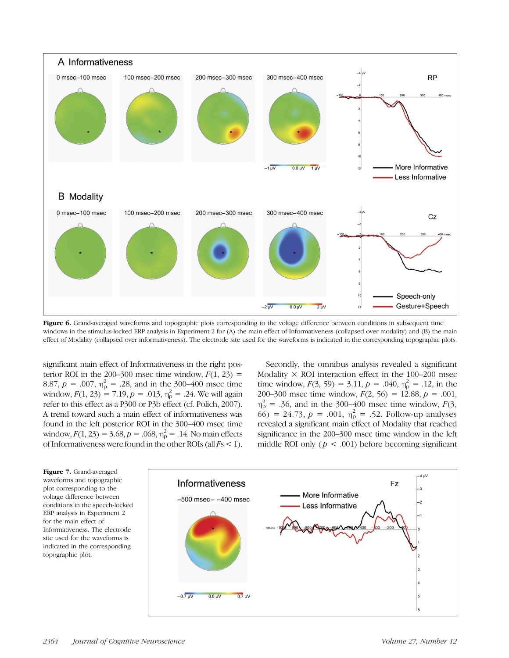

Figure 6. Grand-averaged waveforms and topographic plots corresponding to the voltage difference between conditions in subsequent time windows in the stimulus-locked ERP analysis in Experiment 2 for (A) the main effect of Informativeness (collapsed over modality) and (B) the main effect of Modality (collapsed over informativeness). The electrode site used for the waveforms is indicated in the corresponding topographic plots.

significant main effect of Informativeness in the right posterior ROI in the 200–300 msec time window,  $F(1, 23)$  = 8.87,  $p = .007$ ,  $\eta_{\rm p}^2 = .28$ , and in the 300–400 msec time window,  $F(1, 23) = 7.19$ ,  $p = .013$ ,  $\eta_p^2 = .24$ . We will again refer to this effect as a P300 or P3b effect (cf. Polich, 2007). A trend toward such a main effect of informativeness was found in the left posterior ROI in the 300–400 msec time window,  $F(1, 23) = 3.68$ ,  $p = .068$ ,  $\eta_p^2 = .14$ . No main effects of Informativeness were found in the other ROIs (all  $Fs < 1$ ).

Secondly, the omnibus analysis revealed a significant Modality  $\times$  ROI interaction effect in the 100–200 msec time window,  $F(3, 59) = 3.11$ ,  $p = .040$ ,  $\eta_p^2 = .12$ , in the 200–300 msec time window,  $F(2, 56) = 12.88$ ,  $p = .001$ ,  $\eta_{\rm p}^2$  = .36, and in the 300–400 msec time window,  $F(3)$ ,  $(66) = 24.73$ ,  $p = .001$ ,  $\eta_p^2 = .52$ . Follow-up analyses revealed a significant main effect of Modality that reached significance in the 200–300 msec time window in the left middle ROI only ( $p < .001$ ) before becoming significant

Figure 7. Grand-averaged waveforms and topographic plot corresponding to the voltage difference between conditions in the speech-locked ERP analysis in Experiment 2 for the main effect of Informativeness. The electrode site used for the waveforms is indicated in the corresponding topographic plot.

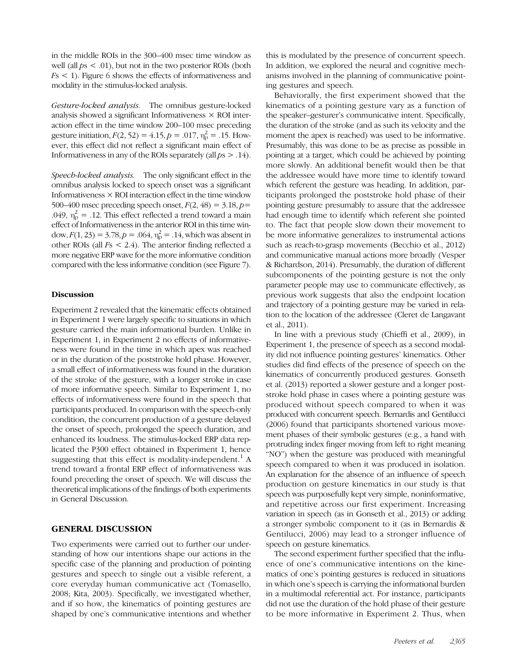in the middle ROIs in the 300–400 msec time window as well (all  $ps < .01$ ), but not in the two posterior ROIs (both  $Fs < 1$ ). Figure 6 shows the effects of informativeness and modality in the stimulus-locked analysis.

Gesture-locked analysis. The omnibus gesture-locked analysis showed a significant Informativeness  $\times$  ROI interaction effect in the time window 200–100 msec preceding gesture initiation,  $F(2, 52) = 4.15$ ,  $p = .017$ ,  $\eta_p^2 = .15$ . However, this effect did not reflect a significant main effect of Informativeness in any of the ROIs separately (all  $ps > .14$ ).

Speech-locked analysis. The only significant effect in the omnibus analysis locked to speech onset was a significant Informativeness  $\times$  ROI interaction effect in the time window 500–400 msec preceding speech onset,  $F(2, 48) = 3.18$ ,  $p=$ .049,  $\eta_p^2$  = .12. This effect reflected a trend toward a main effect of Informativeness in the anterior ROI in this time window,  $F(1, 23) = 3.78$ ,  $p = .064$ ,  $\eta_p^2 = .14$ , which was absent in other ROIs (all  $Fs < 2.4$ ). The anterior finding reflected a more negative ERP wave for the more informative condition compared with the less informative condition (see Figure 7).

#### Discussion

Experiment 2 revealed that the kinematic effects obtained in Experiment 1 were largely specific to situations in which gesture carried the main informational burden. Unlike in Experiment 1, in Experiment 2 no effects of informativeness were found in the time in which apex was reached or in the duration of the poststroke hold phase. However, a small effect of informativeness was found in the duration of the stroke of the gesture, with a longer stroke in case of more informative speech. Similar to Experiment 1, no effects of informativeness were found in the speech that participants produced. In comparison with the speech-only condition, the concurrent production of a gesture delayed the onset of speech, prolonged the speech duration, and enhanced its loudness. The stimulus-locked ERP data replicated the P300 effect obtained in Experiment 1, hence suggesting that this effect is modality-independent.<sup>1</sup> A trend toward a frontal ERP effect of informativeness was found preceding the onset of speech. We will discuss the theoretical implications of the findings of both experiments in General Discussion.

## GENERAL DISCUSSION

Two experiments were carried out to further our understanding of how our intentions shape our actions in the specific case of the planning and production of pointing gestures and speech to single out a visible referent, a core everyday human communicative act (Tomasello, 2008; Kita, 2003). Specifically, we investigated whether, and if so how, the kinematics of pointing gestures are shaped by one's communicative intentions and whether

this is modulated by the presence of concurrent speech. In addition, we explored the neural and cognitive mechanisms involved in the planning of communicative pointing gestures and speech.

Behaviorally, the first experiment showed that the kinematics of a pointing gesture vary as a function of the speaker–gesturer's communicative intent. Specifically, the duration of the stroke (and as such its velocity and the moment the apex is reached) was used to be informative. Presumably, this was done to be as precise as possible in pointing at a target, which could be achieved by pointing more slowly. An additional benefit would then be that the addressee would have more time to identify toward which referent the gesture was heading. In addition, participants prolonged the poststroke hold phase of their pointing gesture presumably to assure that the addressee had enough time to identify which referent she pointed to. The fact that people slow down their movement to be more informative generalizes to instrumental actions such as reach-to-grasp movements (Becchio et al., 2012) and communicative manual actions more broadly (Vesper & Richardson, 2014). Presumably, the duration of different subcomponents of the pointing gesture is not the only parameter people may use to communicate effectively, as previous work suggests that also the endpoint location and trajectory of a pointing gesture may be varied in relation to the location of the addressee (Cleret de Langavant et al., 2011).

In line with a previous study (Chieffi et al., 2009), in Experiment 1, the presence of speech as a second modality did not influence pointing gestures' kinematics. Other studies did find effects of the presence of speech on the kinematics of concurrently produced gestures. Gonseth et al. (2013) reported a slower gesture and a longer poststroke hold phase in cases where a pointing gesture was produced without speech compared to when it was produced with concurrent speech. Bernardis and Gentilucci (2006) found that participants shortened various movement phases of their symbolic gestures (e.g., a hand with protruding index finger moving from left to right meaning "NO") when the gesture was produced with meaningful speech compared to when it was produced in isolation. An explanation for the absence of an influence of speech production on gesture kinematics in our study is that speech was purposefully kept very simple, noninformative, and repetitive across our first experiment. Increasing variation in speech (as in Gonseth et al., 2013) or adding a stronger symbolic component to it (as in Bernardis & Gentilucci, 2006) may lead to a stronger influence of speech on gesture kinematics.

The second experiment further specified that the influence of one's communicative intentions on the kinematics of one's pointing gestures is reduced in situations in which one's speech is carrying the informational burden in a multimodal referential act. For instance, participants did not use the duration of the hold phase of their gesture to be more informative in Experiment 2. Thus, when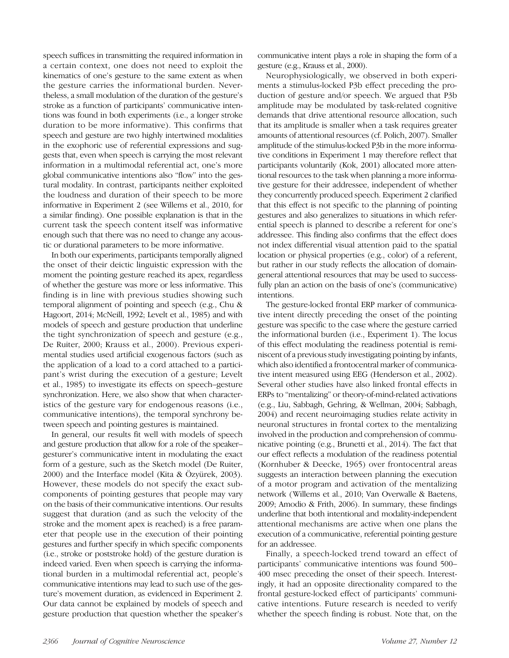speech suffices in transmitting the required information in a certain context, one does not need to exploit the kinematics of one's gesture to the same extent as when the gesture carries the informational burden. Nevertheless, a small modulation of the duration of the gesture's stroke as a function of participants' communicative intentions was found in both experiments (i.e., a longer stroke duration to be more informative). This confirms that speech and gesture are two highly intertwined modalities in the exophoric use of referential expressions and suggests that, even when speech is carrying the most relevant information in a multimodal referential act, one's more global communicative intentions also "flow" into the gestural modality. In contrast, participants neither exploited the loudness and duration of their speech to be more informative in Experiment 2 (see Willems et al., 2010, for a similar finding). One possible explanation is that in the current task the speech content itself was informative enough such that there was no need to change any acoustic or durational parameters to be more informative.

In both our experiments, participants temporally aligned the onset of their deictic linguistic expression with the moment the pointing gesture reached its apex, regardless of whether the gesture was more or less informative. This finding is in line with previous studies showing such temporal alignment of pointing and speech (e.g., Chu & Hagoort, 2014; McNeill, 1992; Levelt et al., 1985) and with models of speech and gesture production that underline the tight synchronization of speech and gesture (e.g., De Ruiter, 2000; Krauss et al., 2000). Previous experimental studies used artificial exogenous factors (such as the application of a load to a cord attached to a participant's wrist during the execution of a gesture; Levelt et al., 1985) to investigate its effects on speech–gesture synchronization. Here, we also show that when characteristics of the gesture vary for endogenous reasons (i.e., communicative intentions), the temporal synchrony between speech and pointing gestures is maintained.

In general, our results fit well with models of speech and gesture production that allow for a role of the speaker– gesturer's communicative intent in modulating the exact form of a gesture, such as the Sketch model (De Ruiter, 2000) and the Interface model (Kita & Özyürek, 2003). However, these models do not specify the exact subcomponents of pointing gestures that people may vary on the basis of their communicative intentions. Our results suggest that duration (and as such the velocity of the stroke and the moment apex is reached) is a free parameter that people use in the execution of their pointing gestures and further specify in which specific components (i.e., stroke or poststroke hold) of the gesture duration is indeed varied. Even when speech is carrying the informational burden in a multimodal referential act, people's communicative intentions may lead to such use of the gesture's movement duration, as evidenced in Experiment 2. Our data cannot be explained by models of speech and gesture production that question whether the speaker's communicative intent plays a role in shaping the form of a gesture (e.g., Krauss et al., 2000).

Neurophysiologically, we observed in both experiments a stimulus-locked P3b effect preceding the production of gesture and/or speech. We argued that P3b amplitude may be modulated by task-related cognitive demands that drive attentional resource allocation, such that its amplitude is smaller when a task requires greater amounts of attentional resources (cf. Polich, 2007). Smaller amplitude of the stimulus-locked P3b in the more informative conditions in Experiment 1 may therefore reflect that participants voluntarily (Kok, 2001) allocated more attentional resources to the task when planning a more informative gesture for their addressee, independent of whether they concurrently produced speech. Experiment 2 clarified that this effect is not specific to the planning of pointing gestures and also generalizes to situations in which referential speech is planned to describe a referent for one's addressee. This finding also confirms that the effect does not index differential visual attention paid to the spatial location or physical properties (e.g., color) of a referent, but rather in our study reflects the allocation of domaingeneral attentional resources that may be used to successfully plan an action on the basis of one's (communicative) intentions.

The gesture-locked frontal ERP marker of communicative intent directly preceding the onset of the pointing gesture was specific to the case where the gesture carried the informational burden (i.e., Experiment 1). The locus of this effect modulating the readiness potential is reminiscent of a previous study investigating pointing by infants, which also identified a frontocentral marker of communicative intent measured using EEG (Henderson et al., 2002). Several other studies have also linked frontal effects in ERPs to "mentalizing" or theory-of-mind-related activations (e.g., Liu, Sabbagh, Gehring, & Wellman, 2004; Sabbagh, 2004) and recent neuroimaging studies relate activity in neuronal structures in frontal cortex to the mentalizing involved in the production and comprehension of communicative pointing (e.g., Brunetti et al., 2014). The fact that our effect reflects a modulation of the readiness potential (Kornhuber & Deecke, 1965) over frontocentral areas suggests an interaction between planning the execution of a motor program and activation of the mentalizing network (Willems et al., 2010; Van Overwalle & Baetens, 2009; Amodio & Frith, 2006). In summary, these findings underline that both intentional and modality-independent attentional mechanisms are active when one plans the execution of a communicative, referential pointing gesture for an addressee.

Finally, a speech-locked trend toward an effect of participants' communicative intentions was found 500– 400 msec preceding the onset of their speech. Interestingly, it had an opposite directionality compared to the frontal gesture-locked effect of participants' communicative intentions. Future research is needed to verify whether the speech finding is robust. Note that, on the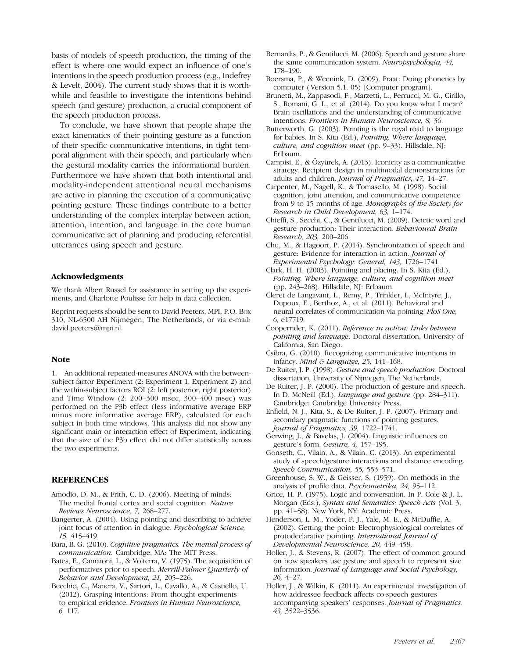basis of models of speech production, the timing of the effect is where one would expect an influence of one's intentions in the speech production process (e.g., Indefrey & Levelt, 2004). The current study shows that it is worthwhile and feasible to investigate the intentions behind speech (and gesture) production, a crucial component of the speech production process.

To conclude, we have shown that people shape the exact kinematics of their pointing gesture as a function of their specific communicative intentions, in tight temporal alignment with their speech, and particularly when the gestural modality carries the informational burden. Furthermore we have shown that both intentional and modality-independent attentional neural mechanisms are active in planning the execution of a communicative pointing gesture. These findings contribute to a better understanding of the complex interplay between action, attention, intention, and language in the core human communicative act of planning and producing referential utterances using speech and gesture.

#### Acknowledgments

We thank Albert Russel for assistance in setting up the experiments, and Charlotte Poulisse for help in data collection.

Reprint requests should be sent to David Peeters, MPI, P.O. Box 310, NL-6500 AH Nijmegen, The Netherlands, or via e-mail: david.peeters@mpi.nl.

#### Note

1. An additional repeated-measures ANOVA with the betweensubject factor Experiment (2: Experiment 1, Experiment 2) and the within-subject factors ROI (2: left posterior, right posterior) and Time Window (2: 200–300 msec, 300–400 msec) was performed on the P3b effect (less informative average ERP minus more informative average ERP), calculated for each subject in both time windows. This analysis did not show any significant main or interaction effect of Experiment, indicating that the size of the P3b effect did not differ statistically across the two experiments.

# REFERENCES

- Amodio, D. M., & Frith, C. D. (2006). Meeting of minds: The medial frontal cortex and social cognition. Nature Reviews Neuroscience, 7, 268–277.
- Bangerter, A. (2004). Using pointing and describing to achieve joint focus of attention in dialogue. Psychological Science, 15, 415–419.
- Bara, B. G. (2010). Cognitive pragmatics. The mental process of communication. Cambridge, MA: The MIT Press.
- Bates, E., Camaioni, L., & Volterra, V. (1975). The acquisition of performatives prior to speech. Merrill-Palmer Quarterly of Behavior and Development, 21, 205–226.
- Becchio, C., Manera, V., Sartori, L., Cavallo, A., & Castiello, U. (2012). Grasping intentions: From thought experiments to empirical evidence. Frontiers in Human Neuroscience, 6, 117.
- Bernardis, P., & Gentilucci, M. (2006). Speech and gesture share the same communication system. Neuropsychologia, 44, 178–190.
- Boersma, P., & Weenink, D. (2009). Praat: Doing phonetics by computer ( Version 5.1. 05) [Computer program].
- Brunetti, M., Zappasodi, F., Marzetti, L., Perrucci, M. G., Cirillo, S., Romani, G. L., et al. (2014). Do you know what I mean? Brain oscillations and the understanding of communicative intentions. Frontiers in Human Neuroscience, 8, 36.
- Butterworth, G. (2003). Pointing is the royal road to language for babies. In S. Kita (Ed.), Pointing. Where language, culture, and cognition meet (pp. 9–33). Hillsdale, NJ: Erlbaum.
- Campisi, E., & Özyürek, A. (2013). Iconicity as a communicative strategy: Recipient design in multimodal demonstrations for adults and children. Journal of Pragmatics, 47, 14–27.
- Carpenter, M., Nagell, K., & Tomasello, M. (1998). Social cognition, joint attention, and communicative competence from 9 to 15 months of age. Monographs of the Society for Research in Child Development, 63, 1–174.
- Chieffi, S., Secchi, C., & Gentilucci, M. (2009). Deictic word and gesture production: Their interaction. Behavioural Brain Research, 203, 200–206.
- Chu, M., & Hagoort, P. (2014). Synchronization of speech and gesture: Evidence for interaction in action. Journal of Experimental Psychology: General, 143, 1726–1741.

Clark, H. H. (2003). Pointing and placing. In S. Kita (Ed.), Pointing. Where language, culture, and cognition meet (pp. 243–268). Hillsdale, NJ: Erlbaum.

- Cleret de Langavant, L., Remy, P., Trinkler, I., McIntyre, J., Dupoux, E., Berthoz, A., et al. (2011). Behavioral and neural correlates of communication via pointing. PloS One, 6, e17719.
- Cooperrider, K. (2011). Reference in action: Links between pointing and language. Doctoral dissertation, University of California, San Diego.
- Csibra, G. (2010). Recognizing communicative intentions in infancy. Mind & Language, 25, 141–168.
- De Ruiter, J. P. (1998). Gesture and speech production. Doctoral dissertation, University of Nijmegen, The Netherlands.
- De Ruiter, J. P. (2000). The production of gesture and speech. In D. McNeill (Ed.), *Language and gesture* (pp. 284–311). Cambridge: Cambridge University Press.
- Enfield, N. J., Kita, S., & De Ruiter, J. P. (2007). Primary and secondary pragmatic functions of pointing gestures. Journal of Pragmatics, 39, 1722–1741.
- Gerwing, J., & Bavelas, J. (2004). Linguistic influences on gesture's form. Gesture, 4, 157–195.
- Gonseth, C., Vilain, A., & Vilain, C. (2013). An experimental study of speech/gesture interactions and distance encoding. Speech Communication, 55, 553-571.
- Greenhouse, S. W., & Geisser, S. (1959). On methods in the analysis of profile data. Psychometrika, 24, 95–112.
- Grice, H. P. (1975). Logic and conversation. In P. Cole & J. L. Morgan (Eds.), Syntax and Semantics: Speech Acts (Vol. 3, pp. 41–58). New York, NY: Academic Press.
- Henderson, L. M., Yoder, P. J., Yale, M. E., & McDuffie, A. (2002). Getting the point: Electrophysiological correlates of protodeclarative pointing. International Journal of Developmental Neuroscience, 20, 449–458.
- Holler, J., & Stevens, R. (2007). The effect of common ground on how speakers use gesture and speech to represent size information. Journal of Language and Social Psychology, 26, 4–27.
- Holler, J., & Wilkin, K. (2011). An experimental investigation of how addressee feedback affects co-speech gestures accompanying speakers' responses. Journal of Pragmatics, 43, 3522–3536.